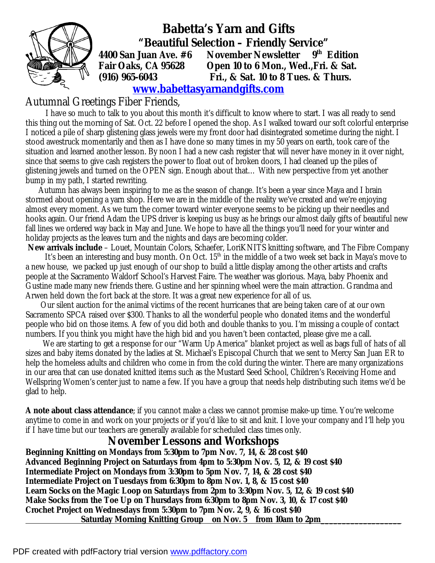

 **Babetta's Yarn and Gifts "Beautiful Selection – Friendly Service" 4400 San Juan Ave. #6 November Newsletter 9th Edition Fair Oaks, CA 95628 Open 10 to 6 Mon., Wed.,Fri. & Sat. (916) 965-6043 Fri., & Sat. 10 to 8 Tues. & Thurs.** 

 **[www.babettasyarnandgifts.com](http://www.babettasyarnandgifts.com)**

#### Autumnal Greetings Fiber Friends,

 I have so much to talk to you about this month it's difficult to know where to start. I was all ready to send this thing out the morning of Sat. Oct. 22 before I opened the shop. As I walked toward our soft colorful enterprise I noticed a pile of sharp glistening glass jewels were my front door had disintegrated sometime during the night. I stood awestruck momentarily and then as I have done so many times in my 50 years on earth, took care of the situation and learned another lesson. By noon I had a new cash register that will never have money in it over night, since that seems to give cash registers the power to float out of broken doors, I had cleaned up the piles of glistening jewels and turned on the OPEN sign. Enough about that… With new perspective from yet another bump in my path, I started rewriting.

 Autumn has always been inspiring to me as the season of change. It's been a year since Maya and I brain stormed about opening a yarn shop. Here we are in the middle of the reality we've created and we're enjoying almost every moment. As we turn the corner toward winter everyone seems to be picking up their needles and hooks again. Our friend Adam the UPS driver is keeping us busy as he brings our almost daily gifts of beautiful new fall lines we ordered way back in May and June. We hope to have all the things you'll need for your winter and holiday projects as the leaves turn and the nights and days are becoming colder.

**New arrivals include** – Louet, Mountain Colors, Schaefer, LoriKNITS knitting software, and The Fibre Company It's been an interesting and busy month. On Oct.  $15<sup>th</sup>$  in the middle of a two week set back in Maya's move to a new house, we packed up just enough of our shop to build a little display among the other artists and crafts people at the Sacramento Waldorf School's Harvest Faire. The weather was glorious. Maya, baby Phoenix and Gustine made many new friends there. Gustine and her spinning wheel were the main attraction. Grandma and Arwen held down the fort back at the store. It was a great new experience for all of us.

Our silent auction for the animal victims of the recent hurricanes that are being taken care of at our own Sacramento SPCA raised over \$300. Thanks to all the wonderful people who donated items and the wonderful people who bid on those items. A few of you did both and double thanks to you. I'm missing a couple of contact numbers. If you think you might have the high bid and you haven't been contacted, please give me a call.

 We are starting to get a response for our "Warm Up America" blanket project as well as bags full of hats of all sizes and baby items donated by the ladies at St. Michael's Episcopal Church that we sent to Mercy San Juan ER to help the homeless adults and children who come in from the cold during the winter. There are many organizations in our area that can use donated knitted items such as the Mustard Seed School, Children's Receiving Home and Wellspring Women's center just to name a few. If you have a group that needs help distributing such items we'd be glad to help.

**A note about class attendance**; if you cannot make a class we cannot promise make-up time. You're welcome anytime to come in and work on your projects or if you'd like to sit and knit. I love your company and I'll help you if I have time but our teachers are generally available for scheduled class times only.

#### **November Lessons and Workshops**

**Beginning Knitting on Mondays from 5:30pm to 7pm Nov. 7, 14, & 28 cost \$40 Advanced Beginning Project on Saturdays from 4pm to 5:30pm Nov. 5, 12, & 19 cost \$40 Intermediate Project on Mondays from 3:30pm to 5pm Nov. 7, 14, & 28 cost \$40 Intermediate Project on Tuesdays from 6:30pm to 8pm Nov. 1, 8, & 15 cost \$40 Learn Socks on the Magic Loop on Saturdays from 2pm to 3:30pm Nov. 5, 12, & 19 cost \$40 Make Socks from the Toe Up on Thursdays from 6:30pm to 8pm Nov. 3, 10, & 17 cost \$40 Crochet Project on Wednesdays from 5:30pm to 7pm Nov. 2, 9, & 16 cost \$40 Saturday Morning Knitting Group on Nov. 5 from 10am to 2pm\_\_\_\_\_\_\_\_\_\_\_\_\_\_\_\_\_\_\_**